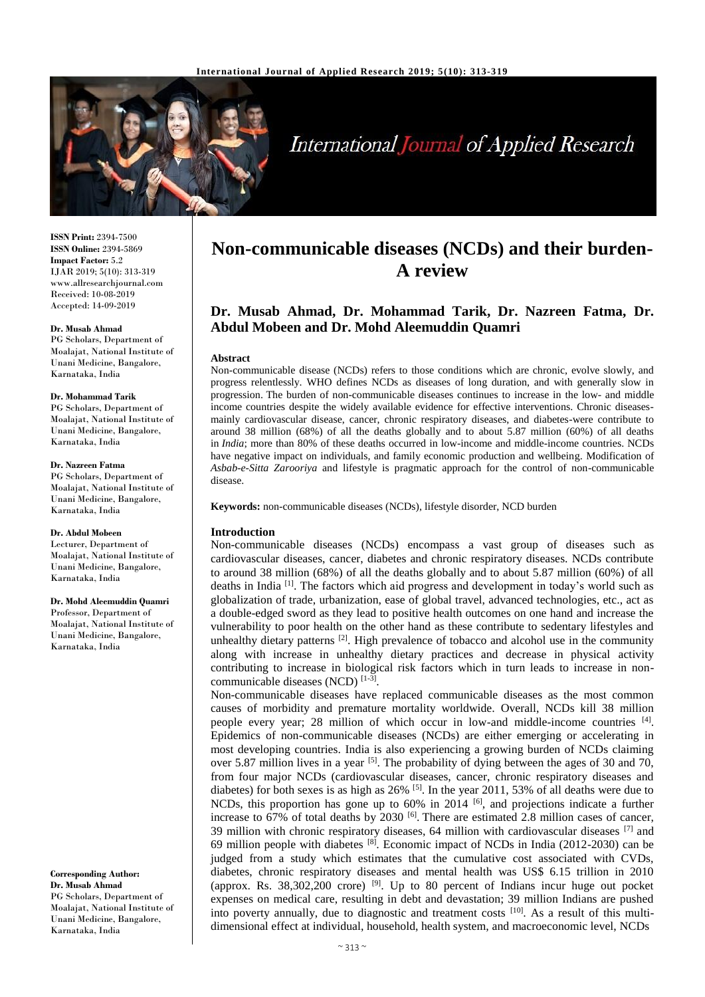

# **International Journal of Applied Research**

**ISSN Print:** 2394-7500 **ISSN Online:** 2394-5869 **Impact Factor:** 5.2 IJAR 2019; 5(10): 313-319 www.allresearchjournal.com Received: 10-08-2019 Accepted: 14-09-2019

### **Dr. Musab Ahmad**

PG Scholars, Department of Moalajat, National Institute of Unani Medicine, Bangalore, Karnataka, India

#### **Dr. Mohammad Tarik**

PG Scholars, Department of Moalajat, National Institute of Unani Medicine, Bangalore, Karnataka, India

#### **Dr. Nazreen Fatma**

PG Scholars, Department of Moalajat, National Institute of Unani Medicine, Bangalore, Karnataka, India

#### **Dr. Abdul Mobeen**

Lecturer, Department of Moalajat, National Institute of Unani Medicine, Bangalore, Karnataka, India

# **Dr. Mohd Aleemuddin Quamri**

Professor, Department of Moalajat, National Institute of Unani Medicine, Bangalore, Karnataka, India

**Corresponding Author: Dr. Musab Ahmad** PG Scholars, Department of Moalajat, National Institute of Unani Medicine, Bangalore, Karnataka, India

# **Non-communicable diseases (NCDs) and their burden-A review**

# **Dr. Musab Ahmad, Dr. Mohammad Tarik, Dr. Nazreen Fatma, Dr. Abdul Mobeen and Dr. Mohd Aleemuddin Quamri**

### **Abstract**

Non-communicable disease (NCDs) refers to those conditions which are chronic, evolve slowly, and progress relentlessly. WHO defines NCDs as diseases of long duration, and with generally slow in progression. The burden of non-communicable diseases continues to increase in the low- and middle income countries despite the widely available evidence for effective interventions. Chronic diseasesmainly cardiovascular disease, cancer, chronic respiratory diseases, and diabetes-were contribute to around 38 million (68%) of all the deaths globally and to about 5.87 million (60%) of all deaths in *India*; more than 80% of these deaths occurred in low-income and middle-income countries. NCDs have negative impact on individuals, and family economic production and wellbeing. Modification of *Asbab-e-Sitta Zarooriya* and lifestyle is pragmatic approach for the control of non-communicable disease.

**Keywords:** non-communicable diseases (NCDs), lifestyle disorder, NCD burden

# **Introduction**

Non-communicable diseases (NCDs) encompass a vast group of diseases such as cardiovascular diseases, cancer, diabetes and chronic respiratory diseases. NCDs contribute to around 38 million (68%) of all the deaths globally and to about 5.87 million (60%) of all deaths in India<sup>[1]</sup>. The factors which aid progress and development in today's world such as globalization of trade, urbanization, ease of global travel, advanced technologies, etc., act as a double-edged sword as they lead to positive health outcomes on one hand and increase the vulnerability to poor health on the other hand as these contribute to sedentary lifestyles and unhealthy dietary patterns  $[2]$ . High prevalence of tobacco and alcohol use in the community along with increase in unhealthy dietary practices and decrease in physical activity contributing to increase in biological risk factors which in turn leads to increase in noncommunicable diseases (NCD)<sup>[1-3]</sup>.

Non-communicable diseases have replaced communicable diseases as the most common causes of morbidity and premature mortality worldwide. Overall, NCDs kill 38 million people every year; 28 million of which occur in low-and middle-income countries [4]. Epidemics of non-communicable diseases (NCDs) are either emerging or accelerating in most developing countries. India is also experiencing a growing burden of NCDs claiming over 5.87 million lives in a year  $[5]$ . The probability of dying between the ages of 30 and 70, from four major NCDs (cardiovascular diseases, cancer, chronic respiratory diseases and diabetes) for both sexes is as high as 26% <sup>[5]</sup>. In the year 2011, 53% of all deaths were due to NCDs, this proportion has gone up to 60% in 2014 <sup>[6]</sup>, and projections indicate a further increase to  $67\%$  of total deaths by  $2030$  <sup>[6]</sup>. There are estimated 2.8 million cases of cancer, 39 million with chronic respiratory diseases, 64 million with cardiovascular diseases [7] and 69 million people with diabetes  $[8]$ . Economic impact of NCDs in India (2012-2030) can be judged from a study which estimates that the cumulative cost associated with CVDs, diabetes, chronic respiratory diseases and mental health was US\$ 6.15 trillion in 2010 (approx. Rs.  $38,302,200$  crore) <sup>[9]</sup>. Up to 80 percent of Indians incur huge out pocket expenses on medical care, resulting in debt and devastation; 39 million Indians are pushed into poverty annually, due to diagnostic and treatment costs [10]. As a result of this multidimensional effect at individual, household, health system, and macroeconomic level, NCDs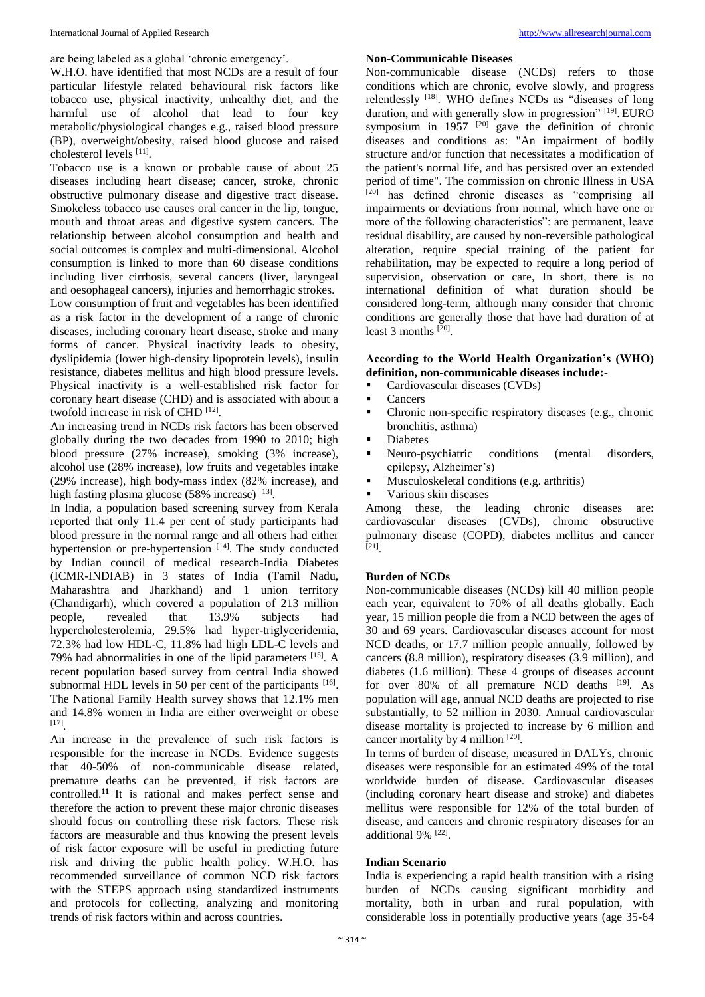are being labeled as a global 'chronic emergency'.

W.H.O. have identified that most NCDs are a result of four particular lifestyle related behavioural risk factors like tobacco use, physical inactivity, unhealthy diet, and the harmful use of alcohol that lead to four key metabolic/physiological changes e.g., raised blood pressure (BP), overweight/obesity, raised blood glucose and raised cholesterol levels [11] .

Tobacco use is a known or probable cause of about 25 diseases including heart disease; cancer, stroke, chronic obstructive pulmonary disease and digestive tract disease. Smokeless tobacco use causes oral cancer in the lip, tongue, mouth and throat areas and digestive system cancers. The relationship between alcohol consumption and health and social outcomes is complex and multi-dimensional. Alcohol consumption is linked to more than 60 disease conditions including liver cirrhosis, several cancers (liver, laryngeal and oesophageal cancers), injuries and hemorrhagic strokes. Low consumption of fruit and vegetables has been identified as a risk factor in the development of a range of chronic diseases, including coronary heart disease, stroke and many forms of cancer. Physical inactivity leads to obesity, dyslipidemia (lower high-density lipoprotein levels), insulin resistance, diabetes mellitus and high blood pressure levels. Physical inactivity is a well-established risk factor for coronary heart disease (CHD) and is associated with about a twofold increase in risk of CHD<sup>[12]</sup>.

An increasing trend in NCDs risk factors has been observed globally during the two decades from 1990 to 2010; high blood pressure (27% increase), smoking (3% increase), alcohol use (28% increase), low fruits and vegetables intake (29% increase), high body-mass index (82% increase), and high fasting plasma glucose (58% increase) [13].

In India, a population based screening survey from Kerala reported that only 11.4 per cent of study participants had blood pressure in the normal range and all others had either hypertension or pre-hypertension [14]. The study conducted by Indian council of medical research-India Diabetes (ICMR-INDIAB) in 3 states of India (Tamil Nadu, Maharashtra and Jharkhand) and 1 union territory (Chandigarh), which covered a population of 213 million people, revealed that 13.9% subjects had hypercholesterolemia, 29.5% had hyper-triglyceridemia, 72.3% had low HDL-C, 11.8% had high LDL-C levels and 79% had abnormalities in one of the lipid parameters [15]. A recent population based survey from central India showed subnormal HDL levels in 50 per cent of the participants  $[16]$ . The National Family Health survey shows that 12.1% men and 14.8% women in India are either overweight or obese [17] .

An increase in the prevalence of such risk factors is responsible for the increase in NCDs. Evidence suggests that 40-50% of non-communicable disease related, premature deaths can be prevented, if risk factors are controlled.**<sup>11</sup>** It is rational and makes perfect sense and therefore the action to prevent these major chronic diseases should focus on controlling these risk factors. These risk factors are measurable and thus knowing the present levels of risk factor exposure will be useful in predicting future risk and driving the public health policy. W.H.O. has recommended surveillance of common NCD risk factors with the STEPS approach using standardized instruments and protocols for collecting, analyzing and monitoring trends of risk factors within and across countries.

# **Non-Communicable Diseases**

Non-communicable disease (NCDs) refers to those conditions which are chronic, evolve slowly, and progress relentlessly [18]. WHO defines NCDs as "diseases of long duration, and with generally slow in progression" [19]. EURO symposium in  $1957$  <sup>[20]</sup> gave the definition of chronic diseases and conditions as: "An impairment of bodily structure and/or function that necessitates a modification of the patient's normal life, and has persisted over an extended period of time". The commission on chronic Illness in USA [20] has defined chronic diseases as "comprising all impairments or deviations from normal, which have one or more of the following characteristics": are permanent, leave residual disability, are caused by non-reversible pathological alteration, require special training of the patient for rehabilitation, may be expected to require a long period of supervision, observation or care, In short, there is no international definition of what duration should be considered long-term*,* although many consider that chronic conditions are generally those that have had duration of at least 3 months [20].

# **According to the World Health Organization's (WHO) definition, non-communicable diseases include:-**

Cardiovascular diseases (CVDs)

- Cancers
- Chronic non-specific respiratory diseases (e.g., chronic bronchitis, asthma)
- **Diabetes**
- Neuro-psychiatric conditions (mental disorders, epilepsy, Alzheimer's)
- **Musculoskeletal conditions (e.g. arthritis)**
- Various skin diseases

Among these, the leading chronic diseases are: cardiovascular diseases (CVDs), chronic obstructive pulmonary disease (COPD), diabetes mellitus and cancer [21] .

# **Burden of NCDs**

Non-communicable diseases (NCDs) kill 40 million people each year, equivalent to 70% of all deaths globally. Each year, 15 million people die from a NCD between the ages of 30 and 69 years. Cardiovascular diseases account for most NCD deaths, or 17.7 million people annually, followed by cancers (8.8 million), respiratory diseases (3.9 million), and diabetes (1.6 million). These 4 groups of diseases account for over 80% of all premature NCD deaths [19]. As population will age, annual NCD deaths are projected to rise substantially, to 52 million in 2030. Annual cardiovascular disease mortality is projected to increase by 6 million and cancer mortality by 4 million [20].

In terms of burden of disease, measured in DALYs, chronic diseases were responsible for an estimated 49% of the total worldwide burden of disease. Cardiovascular diseases (including coronary heart disease and stroke) and diabetes mellitus were responsible for 12% of the total burden of disease, and cancers and chronic respiratory diseases for an additional 9% [22].

# **Indian Scenario**

India is experiencing a rapid health transition with a rising burden of NCDs causing significant morbidity and mortality, both in urban and rural population, with considerable loss in potentially productive years (age 35-64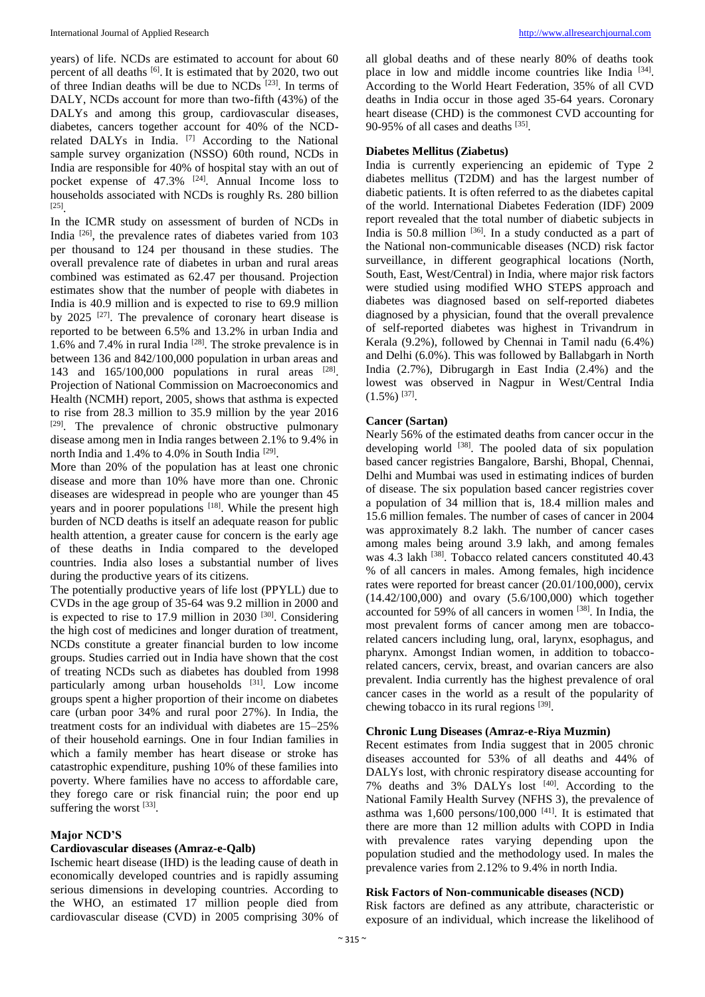years) of life. NCDs are estimated to account for about 60 percent of all deaths  $\left[6\right]$ . It is estimated that by 2020, two out of three Indian deaths will be due to NCDs [23] . In terms of DALY, NCDs account for more than two-fifth (43%) of the DALYs and among this group, cardiovascular diseases, diabetes, cancers together account for 40% of the NCDrelated DALYs in India. [7] According to the National sample survey organization (NSSO) 60th round, NCDs in India are responsible for 40% of hospital stay with an out of pocket expense of  $47.3\%$   $[24]$ . Annual Income loss to households associated with NCDs is roughly Rs. 280 billion [25] .

In the ICMR study on assessment of burden of NCDs in India [26] , the prevalence rates of diabetes varied from 103 per thousand to 124 per thousand in these studies. The overall prevalence rate of diabetes in urban and rural areas combined was estimated as 62.47 per thousand. Projection estimates show that the number of people with diabetes in India is 40.9 million and is expected to rise to 69.9 million by 2025<sup>[27]</sup>. The prevalence of coronary heart disease is reported to be between 6.5% and 13.2% in urban India and 1.6% and 7.4% in rural India<sup>[28]</sup>. The stroke prevalence is in between 136 and 842/100,000 population in urban areas and 143 and 165/100,000 populations in rural areas [28]. Projection of National Commission on Macroeconomics and Health (NCMH) report, 2005, shows that asthma is expected to rise from 28.3 million to 35.9 million by the year 2016 [29]. The prevalence of chronic obstructive pulmonary disease among men in India ranges between 2.1% to 9.4% in north India and 1.4% to 4.0% in South India<sup>[29]</sup>.

More than 20% of the population has at least one chronic disease and more than 10% have more than one. Chronic diseases are widespread in people who are younger than 45 years and in poorer populations <sup>[18]</sup>. While the present high burden of NCD deaths is itself an adequate reason for public health attention, a greater cause for concern is the early age of these deaths in India compared to the developed countries. India also loses a substantial number of lives during the productive years of its citizens.

The potentially productive years of life lost (PPYLL) due to CVDs in the age group of 35-64 was 9.2 million in 2000 and is expected to rise to  $17.9$  million in  $2030$   $[30]$ . Considering the high cost of medicines and longer duration of treatment, NCDs constitute a greater financial burden to low income groups. Studies carried out in India have shown that the cost of treating NCDs such as diabetes has doubled from 1998 particularly among urban households [31]. Low income groups spent a higher proportion of their income on diabetes care (urban poor 34% and rural poor 27%). In India, the treatment costs for an individual with diabetes are 15–25% of their household earnings. One in four Indian families in which a family member has heart disease or stroke has catastrophic expenditure, pushing 10% of these families into poverty. Where families have no access to affordable care, they forego care or risk financial ruin; the poor end up suffering the worst  $^{[33]}$ .

# **Major NCD'S**

# **Cardiovascular diseases (Amraz-e-Qalb)**

Ischemic heart disease (IHD) is the leading cause of death in economically developed countries and is rapidly assuming serious dimensions in developing countries. According to the WHO, an estimated 17 million people died from cardiovascular disease (CVD) in 2005 comprising 30% of all global deaths and of these nearly 80% of deaths took place in low and middle income countries like India <sup>[34]</sup>. According to the World Heart Federation, 35% of all CVD deaths in India occur in those aged 35-64 years. Coronary heart disease (CHD) is the commonest CVD accounting for 90-95% of all cases and deaths  $^{[35]}$ .

# **Diabetes Mellitus (Ziabetus)**

India is currently experiencing an epidemic of Type 2 diabetes mellitus (T2DM) and has the largest number of diabetic patients. It is often referred to as the diabetes capital of the world. International Diabetes Federation (IDF) 2009 report revealed that the total number of diabetic subjects in India is  $50.8$  million  $\left[36\right]$ . In a study conducted as a part of the National non-communicable diseases (NCD) risk factor surveillance, in different geographical locations (North, South, East, West/Central) in India, where major risk factors were studied using modified WHO STEPS approach and diabetes was diagnosed based on self-reported diabetes diagnosed by a physician, found that the overall prevalence of self-reported diabetes was highest in Trivandrum in Kerala (9.2%), followed by Chennai in Tamil nadu (6.4%) and Delhi (6.0%). This was followed by Ballabgarh in North India (2.7%), Dibrugargh in East India (2.4%) and the lowest was observed in Nagpur in West/Central India  $(1.5\%)$  [37].

# **Cancer (Sartan)**

Nearly 56% of the estimated deaths from cancer occur in the developing world <sup>[38]</sup>. The pooled data of six population based cancer registries Bangalore, Barshi, Bhopal, Chennai, Delhi and Mumbai was used in estimating indices of burden of disease. The six population based cancer registries cover a population of 34 million that is, 18.4 million males and 15.6 million females. The number of cases of cancer in 2004 was approximately 8.2 lakh. The number of cancer cases among males being around 3.9 lakh, and among females was 4.3 lakh <a>[38]</a>. Tobacco related cancers constituted 40.43 % of all cancers in males. Among females, high incidence rates were reported for breast cancer (20.01/100,000), cervix (14.42/100,000) and ovary (5.6/100,000) which together accounted for 59% of all cancers in women [38]. In India, the most prevalent forms of cancer among men are tobaccorelated cancers including lung, oral, larynx, esophagus, and pharynx. Amongst Indian women, in addition to tobaccorelated cancers, cervix, breast, and ovarian cancers are also prevalent. India currently has the highest prevalence of oral cancer cases in the world as a result of the popularity of chewing tobacco in its rural regions [39].

# **Chronic Lung Diseases (Amraz-e-Riya Muzmin)**

Recent estimates from India suggest that in 2005 chronic diseases accounted for 53% of all deaths and 44% of DALYs lost, with chronic respiratory disease accounting for 7% deaths and 3% DALYs lost  $[40]$ . According to the National Family Health Survey (NFHS 3), the prevalence of asthma was  $1,600$  persons/100,000<sup>[41]</sup>. It is estimated that there are more than 12 million adults with COPD in India with prevalence rates varying depending upon the population studied and the methodology used. In males the prevalence varies from 2.12% to 9.4% in north India.

# **Risk Factors of Non-communicable diseases (NCD)**

Risk factors are defined as any attribute, characteristic or exposure of an individual, which increase the likelihood of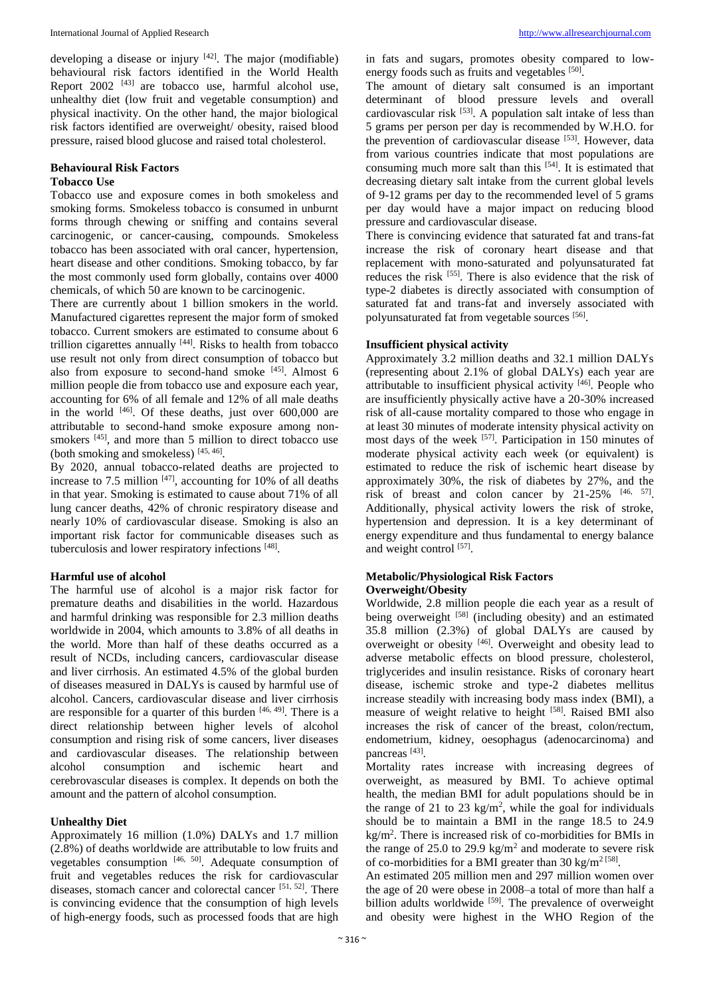developing a disease or injury  $[42]$ . The major (modifiable) behavioural risk factors identified in the World Health Report  $2002$  <sup>[43]</sup> are tobacco use, harmful alcohol use, unhealthy diet (low fruit and vegetable consumption) and physical inactivity. On the other hand, the major biological risk factors identified are overweight/ obesity, raised blood pressure, raised blood glucose and raised total cholesterol.

# **Behavioural Risk Factors**

# **Tobacco Use**

Tobacco use and exposure comes in both smokeless and smoking forms. Smokeless tobacco is consumed in unburnt forms through chewing or sniffing and contains several carcinogenic, or cancer-causing, compounds. Smokeless tobacco has been associated with oral cancer, hypertension, heart disease and other conditions. Smoking tobacco, by far the most commonly used form globally, contains over 4000 chemicals, of which 50 are known to be carcinogenic.

There are currently about 1 billion smokers in the world. Manufactured cigarettes represent the major form of smoked tobacco. Current smokers are estimated to consume about 6 trillion cigarettes annually <sup>[44]</sup>. Risks to health from tobacco use result not only from direct consumption of tobacco but also from exposure to second-hand smoke [45]. Almost 6 million people die from tobacco use and exposure each year, accounting for 6% of all female and 12% of all male deaths in the world  $[46]$ . Of these deaths, just over  $600,000$  are attributable to second-hand smoke exposure among nonsmokers <sup>[45]</sup>, and more than 5 million to direct tobacco use (both smoking and smokeless) [45, 46] .

By 2020, annual tobacco-related deaths are projected to increase to 7.5 million  $[47]$ , accounting for 10% of all deaths in that year. Smoking is estimated to cause about 71% of all lung cancer deaths, 42% of chronic respiratory disease and nearly 10% of cardiovascular disease. Smoking is also an important risk factor for communicable diseases such as tuberculosis and lower respiratory infections [48].

# **Harmful use of alcohol**

The harmful use of alcohol is a major risk factor for premature deaths and disabilities in the world. Hazardous and harmful drinking was responsible for 2.3 million deaths worldwide in 2004, which amounts to 3.8% of all deaths in the world. More than half of these deaths occurred as a result of NCDs, including cancers, cardiovascular disease and liver cirrhosis. An estimated 4.5% of the global burden of diseases measured in DALYs is caused by harmful use of alcohol. Cancers, cardiovascular disease and liver cirrhosis are responsible for a quarter of this burden  $[46, 49]$ . There is a direct relationship between higher levels of alcohol consumption and rising risk of some cancers, liver diseases and cardiovascular diseases. The relationship between alcohol consumption and ischemic heart and cerebrovascular diseases is complex. It depends on both the amount and the pattern of alcohol consumption.

# **Unhealthy Diet**

Approximately 16 million (1.0%) DALYs and 1.7 million (2.8%) of deaths worldwide are attributable to low fruits and vegetables consumption [46, 50]. Adequate consumption of fruit and vegetables reduces the risk for cardiovascular diseases, stomach cancer and colorectal cancer [51, 52]. There is convincing evidence that the consumption of high levels of high-energy foods, such as processed foods that are high

in fats and sugars, promotes obesity compared to lowenergy foods such as fruits and vegetables <sup>[50]</sup>.

The amount of dietary salt consumed is an important determinant of blood pressure levels and overall cardiovascular risk <sup>[53]</sup>. A population salt intake of less than 5 grams per person per day is recommended by W.H.O. for the prevention of cardiovascular disease [53]. However, data from various countries indicate that most populations are consuming much more salt than this  $[54]$ . It is estimated that decreasing dietary salt intake from the current global levels of 9-12 grams per day to the recommended level of 5 grams per day would have a major impact on reducing blood pressure and cardiovascular disease.

There is convincing evidence that saturated fat and trans-fat increase the risk of coronary heart disease and that replacement with mono-saturated and polyunsaturated fat reduces the risk [55]. There is also evidence that the risk of type-2 diabetes is directly associated with consumption of saturated fat and trans-fat and inversely associated with polyunsaturated fat from vegetable sources<sup>[56]</sup>.

# **Insufficient physical activity**

Approximately 3.2 million deaths and 32.1 million DALYs (representing about 2.1% of global DALYs) each year are attributable to insufficient physical activity [46] . People who are insufficiently physically active have a 20-30% increased risk of all-cause mortality compared to those who engage in at least 30 minutes of moderate intensity physical activity on most days of the week  $[57]$ . Participation in 150 minutes of moderate physical activity each week (or equivalent) is estimated to reduce the risk of ischemic heart disease by approximately 30%, the risk of diabetes by 27%, and the risk of breast and colon cancer by  $21-25\%$   $[46, 57]$ . Additionally, physical activity lowers the risk of stroke, hypertension and depression. It is a key determinant of energy expenditure and thus fundamental to energy balance and weight control [57].

# **Metabolic/Physiological Risk Factors Overweight/Obesity**

Worldwide, 2.8 million people die each year as a result of being overweight [58] (including obesity) and an estimated 35.8 million (2.3%) of global DALYs are caused by overweight or obesity <sup>[46]</sup>. Overweight and obesity lead to adverse metabolic effects on blood pressure, cholesterol, triglycerides and insulin resistance. Risks of coronary heart disease, ischemic stroke and type-2 diabetes mellitus increase steadily with increasing body mass index (BMI), a measure of weight relative to height [58]. Raised BMI also increases the risk of cancer of the breast, colon/rectum, endometrium, kidney, oesophagus (adenocarcinoma) and pancreas<sup>[43]</sup>.

Mortality rates increase with increasing degrees of overweight, as measured by BMI. To achieve optimal health, the median BMI for adult populations should be in the range of 21 to 23 kg/m<sup>2</sup>, while the goal for individuals should be to maintain a BMI in the range 18.5 to 24.9 kg/m<sup>2</sup> . There is increased risk of co-morbidities for BMIs in the range of 25.0 to 29.9  $\text{kg/m}^2$  and moderate to severe risk of co-morbidities for a BMI greater than 30 kg/m<sup>2 [58]</sup>.

An estimated 205 million men and 297 million women over the age of 20 were obese in 2008–a total of more than half a billion adults worldwide [59]. The prevalence of overweight and obesity were highest in the WHO Region of the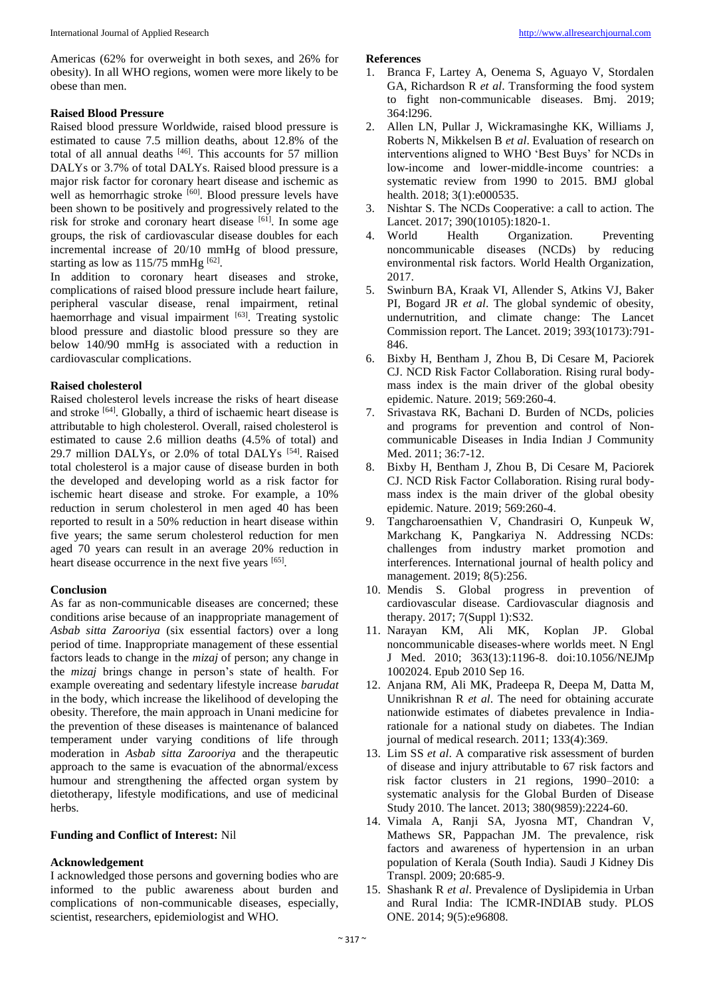Americas (62% for overweight in both sexes, and 26% for obesity). In all WHO regions, women were more likely to be obese than men.

# **Raised Blood Pressure**

Raised blood pressure Worldwide, raised blood pressure is estimated to cause 7.5 million deaths, about 12.8% of the total of all annual deaths  $[46]$ . This accounts for 57 million DALYs or 3.7% of total DALYs. Raised blood pressure is a major risk factor for coronary heart disease and ischemic as well as hemorrhagic stroke [60]. Blood pressure levels have been shown to be positively and progressively related to the risk for stroke and coronary heart disease [61]. In some age groups, the risk of cardiovascular disease doubles for each incremental increase of 20/10 mmHg of blood pressure, starting as low as  $115/75$  mmHg  $^{[62]}$ .

In addition to coronary heart diseases and stroke, complications of raised blood pressure include heart failure, peripheral vascular disease, renal impairment, retinal haemorrhage and visual impairment [63]. Treating systolic blood pressure and diastolic blood pressure so they are below 140/90 mmHg is associated with a reduction in cardiovascular complications.

# **Raised cholesterol**

Raised cholesterol levels increase the risks of heart disease and stroke <sup>[64]</sup>. Globally, a third of ischaemic heart disease is attributable to high cholesterol. Overall, raised cholesterol is estimated to cause 2.6 million deaths (4.5% of total) and 29.7 million DALYs, or 2.0% of total DALYs<sup>[54]</sup>. Raised total cholesterol is a major cause of disease burden in both the developed and developing world as a risk factor for ischemic heart disease and stroke. For example, a 10% reduction in serum cholesterol in men aged 40 has been reported to result in a 50% reduction in heart disease within five years; the same serum cholesterol reduction for men aged 70 years can result in an average 20% reduction in heart disease occurrence in the next five years [65].

#### **Conclusion**

As far as non-communicable diseases are concerned; these conditions arise because of an inappropriate management of *Asbab sitta Zarooriya* (six essential factors) over a long period of time. Inappropriate management of these essential factors leads to change in the *mizaj* of person; any change in the *mizaj* brings change in person's state of health. For example overeating and sedentary lifestyle increase *barudat* in the body, which increase the likelihood of developing the obesity. Therefore, the main approach in Unani medicine for the prevention of these diseases is maintenance of balanced temperament under varying conditions of life through moderation in *Asbab sitta Zarooriya* and the therapeutic approach to the same is evacuation of the abnormal/excess humour and strengthening the affected organ system by dietotherapy, lifestyle modifications, and use of medicinal herbs.

# **Funding and Conflict of Interest:** Nil

### **Acknowledgement**

I acknowledged those persons and governing bodies who are informed to the public awareness about burden and complications of non-communicable diseases, especially, scientist, researchers, epidemiologist and WHO.

# **References**

- 
- 1. Branca F, Lartey A, Oenema S, Aguayo V, Stordalen GA, Richardson R *et al*. Transforming the food system to fight non-communicable diseases. Bmj. 2019; 364:l296.
- 2. Allen LN, Pullar J, Wickramasinghe KK, Williams J, Roberts N, Mikkelsen B *et al*. Evaluation of research on interventions aligned to WHO 'Best Buys' for NCDs in low-income and lower-middle-income countries: a systematic review from 1990 to 2015. BMJ global health. 2018; 3(1):e000535.
- 3. Nishtar S. The NCDs Cooperative: a call to action. The Lancet. 2017; 390(10105):1820-1.
- 4. World Health Organization. Preventing noncommunicable diseases (NCDs) by reducing environmental risk factors. World Health Organization, 2017.
- 5. Swinburn BA, Kraak VI, Allender S, Atkins VJ, Baker PI, Bogard JR *et al*. The global syndemic of obesity, undernutrition, and climate change: The Lancet Commission report. The Lancet. 2019; 393(10173):791- 846.
- 6. Bixby H, Bentham J, Zhou B, Di Cesare M, Paciorek CJ. NCD Risk Factor Collaboration. Rising rural bodymass index is the main driver of the global obesity epidemic. Nature. 2019; 569:260-4.
- 7. Srivastava RK, Bachani D. Burden of NCDs, policies and programs for prevention and control of Noncommunicable Diseases in India Indian J Community Med. 2011; 36:7-12.
- 8. Bixby H, Bentham J, Zhou B, Di Cesare M, Paciorek CJ. NCD Risk Factor Collaboration. Rising rural bodymass index is the main driver of the global obesity epidemic. Nature. 2019; 569:260-4.
- 9. Tangcharoensathien V, Chandrasiri O, Kunpeuk W, Markchang K, Pangkariya N. Addressing NCDs: challenges from industry market promotion and interferences. International journal of health policy and management. 2019; 8(5):256.
- 10. Mendis S. Global progress in prevention of cardiovascular disease. Cardiovascular diagnosis and therapy. 2017; 7(Suppl 1):S32.
- 11. Narayan KM, Ali MK, Koplan JP. Global noncommunicable diseases-where worlds meet. N Engl J Med. 2010; 363(13):1196-8. doi:10.1056/NEJMp 1002024. Epub 2010 Sep 16.
- 12. Anjana RM, Ali MK, Pradeepa R, Deepa M, Datta M, Unnikrishnan R *et al*. The need for obtaining accurate nationwide estimates of diabetes prevalence in Indiarationale for a national study on diabetes. The Indian journal of medical research. 2011; 133(4):369.
- 13. Lim SS *et al*. A comparative risk assessment of burden of disease and injury attributable to 67 risk factors and risk factor clusters in 21 regions, 1990–2010: a systematic analysis for the Global Burden of Disease Study 2010. The lancet. 2013; 380(9859):2224-60.
- 14. Vimala A, Ranji SA, Jyosna MT, Chandran V, Mathews SR, Pappachan JM. The prevalence, risk factors and awareness of hypertension in an urban population of Kerala (South India). Saudi J Kidney Dis Transpl. 2009; 20:685-9.
- 15. Shashank R *et al*. Prevalence of Dyslipidemia in Urban and Rural India: The ICMR-INDIAB study. PLOS ONE. 2014; 9(5):e96808.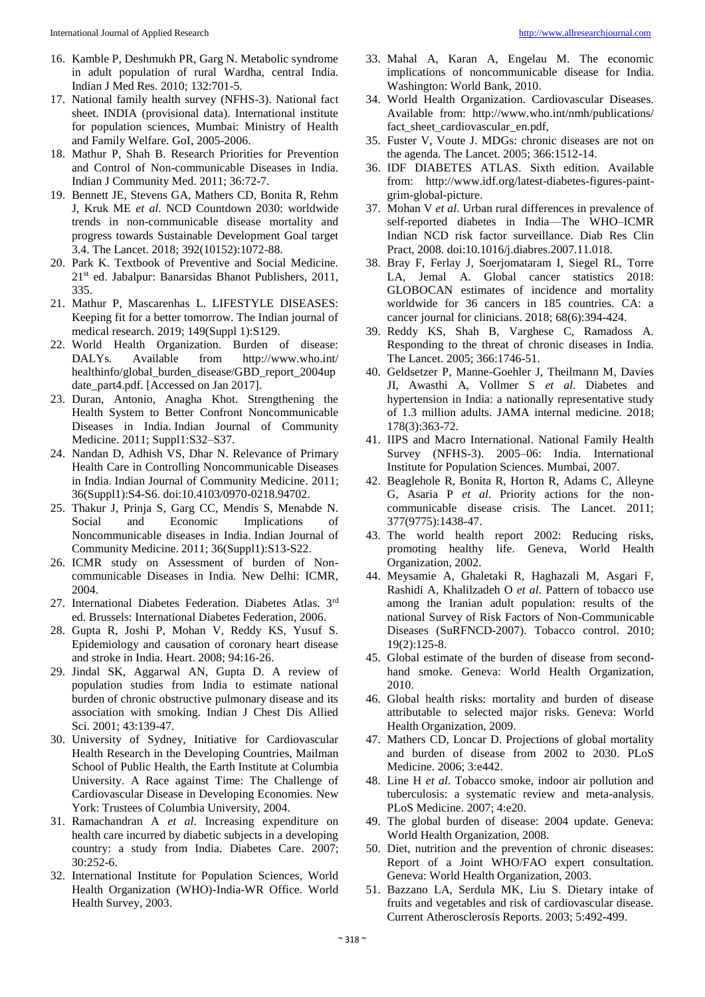- 16. Kamble P, Deshmukh PR, Garg N. Metabolic syndrome in adult population of rural Wardha, central India. Indian J Med Res. 2010; 132:701-5.
- 17. National family health survey (NFHS-3). National fact sheet. INDIA (provisional data). International institute for population sciences, Mumbai: Ministry of Health and Family Welfare. GoI, 2005-2006.
- 18. Mathur P, Shah B. Research Priorities for Prevention and Control of Non-communicable Diseases in India. Indian J Community Med. 2011; 36:72-7.
- 19. Bennett JE, Stevens GA, Mathers CD, Bonita R, Rehm J, Kruk ME *et al*. NCD Countdown 2030: worldwide trends in non-communicable disease mortality and progress towards Sustainable Development Goal target 3.4. The Lancet. 2018; 392(10152):1072-88.
- 20. Park K. Textbook of Preventive and Social Medicine. 21st ed. Jabalpur: Banarsidas Bhanot Publishers, 2011, 335.
- 21. Mathur P, Mascarenhas L. LIFESTYLE DISEASES: Keeping fit for a better tomorrow. The Indian journal of medical research. 2019; 149(Suppl 1):S129.
- 22. World Health Organization. Burden of disease: DALYs. Available from http://www.who.int/ healthinfo/global\_burden\_disease/GBD\_report\_2004up date\_part4.pdf. [Accessed on Jan 2017].
- 23. Duran, Antonio, Anagha Khot. Strengthening the Health System to Better Confront Noncommunicable Diseases in India. Indian Journal of Community Medicine. 2011; Suppl1:S32–S37.
- 24. Nandan D, Adhish VS, Dhar N. Relevance of Primary Health Care in Controlling Noncommunicable Diseases in India. Indian Journal of Community Medicine. 2011; 36(Suppl1):S4-S6. doi:10.4103/0970-0218.94702.
- 25. Thakur J, Prinja S, Garg CC, Mendis S, Menabde N. Social and Economic Implications of Noncommunicable diseases in India. Indian Journal of Community Medicine. 2011; 36(Suppl1):S13-S22.
- 26. ICMR study on Assessment of burden of Noncommunicable Diseases in India. New Delhi: ICMR, 2004.
- 27. International Diabetes Federation. Diabetes Atlas. 3rd ed. Brussels: International Diabetes Federation, 2006.
- 28. Gupta R, Joshi P, Mohan V, Reddy KS, Yusuf S. Epidemiology and causation of coronary heart disease and stroke in India. Heart. 2008; 94:16-26.
- 29. Jindal SK, Aggarwal AN, Gupta D. A review of population studies from India to estimate national burden of chronic obstructive pulmonary disease and its association with smoking. Indian J Chest Dis Allied Sci. 2001; 43:139-47.
- 30. University of Sydney, Initiative for Cardiovascular Health Research in the Developing Countries, Mailman School of Public Health, the Earth Institute at Columbia University. A Race against Time: The Challenge of Cardiovascular Disease in Developing Economies. New York: Trustees of Columbia University, 2004.
- 31. Ramachandran A *et al*. Increasing expenditure on health care incurred by diabetic subjects in a developing country: a study from India. Diabetes Care. 2007; 30:252-6.
- 32. International Institute for Population Sciences, World Health Organization (WHO)-India-WR Office. World Health Survey, 2003.
- 33. Mahal A, Karan A, Engelau M. The economic implications of noncommunicable disease for India. Washington: World Bank, 2010.
- 34. World Health Organization. Cardiovascular Diseases. Available from: http://www.who.int/nmh/publications/ fact sheet cardiovascular en.pdf,
- 35. Fuster V, Voute J. MDGs: chronic diseases are not on the agenda. The Lancet. 2005; 366:1512-14.
- 36. IDF DIABETES ATLAS. Sixth edition. Available from: http://www.idf.org/latest-diabetes-figures-paintgrim-global-picture.
- 37. Mohan V *et al*. Urban rural differences in prevalence of self-reported diabetes in India—The WHO–ICMR Indian NCD risk factor surveillance. Diab Res Clin Pract, 2008. doi:10.1016/j.diabres.2007.11.018.
- 38. Bray F, Ferlay J, Soerjomataram I, Siegel RL, Torre LA, Jemal A. Global cancer statistics 2018: GLOBOCAN estimates of incidence and mortality worldwide for 36 cancers in 185 countries. CA: a cancer journal for clinicians. 2018; 68(6):394-424.
- 39. Reddy KS, Shah B, Varghese C, Ramadoss A. Responding to the threat of chronic diseases in India. The Lancet. 2005; 366:1746-51.
- 40. Geldsetzer P, Manne-Goehler J, Theilmann M, Davies JI, Awasthi A, Vollmer S *et al*. Diabetes and hypertension in India: a nationally representative study of 1.3 million adults. JAMA internal medicine. 2018; 178(3):363-72.
- 41. IIPS and Macro International. National Family Health Survey (NFHS-3). 2005–06: India. International Institute for Population Sciences. Mumbai, 2007.
- 42. Beaglehole R, Bonita R, Horton R, Adams C, Alleyne G, Asaria P *et al*. Priority actions for the noncommunicable disease crisis. The Lancet. 2011; 377(9775):1438-47.
- 43. The world health report 2002: Reducing risks, promoting healthy life. Geneva, World Health Organization, 2002.
- 44. Meysamie A, Ghaletaki R, Haghazali M, Asgari F, Rashidi A, Khalilzadeh O *et al*. Pattern of tobacco use among the Iranian adult population: results of the national Survey of Risk Factors of Non-Communicable Diseases (SuRFNCD-2007). Tobacco control. 2010; 19(2):125-8.
- 45. Global estimate of the burden of disease from secondhand smoke. Geneva: World Health Organization, 2010.
- 46. Global health risks: mortality and burden of disease attributable to selected major risks. Geneva: World Health Organization, 2009.
- 47. Mathers CD, Loncar D. Projections of global mortality and burden of disease from 2002 to 2030. PLoS Medicine. 2006; 3:e442.
- 48. Line H *et al*. Tobacco smoke, indoor air pollution and tuberculosis: a systematic review and meta-analysis. PLoS Medicine. 2007; 4:e20.
- 49. The global burden of disease: 2004 update. Geneva: World Health Organization, 2008.
- 50. Diet, nutrition and the prevention of chronic diseases: Report of a Joint WHO/FAO expert consultation. Geneva: World Health Organization, 2003.
- 51. Bazzano LA, Serdula MK, Liu S. Dietary intake of fruits and vegetables and risk of cardiovascular disease. Current Atherosclerosis Reports. 2003; 5:492-499.